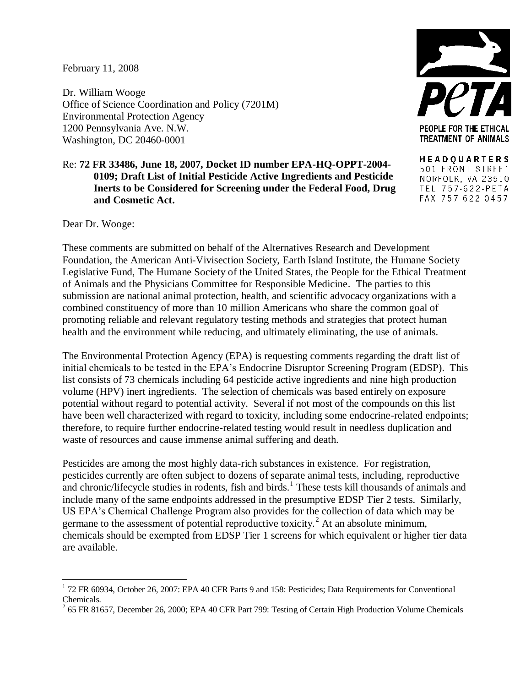## February 11, 2008

Dr. William Wooge Office of Science Coordination and Policy (7201M) Environmental Protection Agency 1200 Pennsylvania Ave. N.W. Washington, DC 20460-0001

## PEOPLE FOR THE ETHICAL **TREATMENT OF ANIMALS**

**HEADQUARTERS** 501 FRONT STREET NORFOLK, VA 23510 TEL 757-622-PETA FAX 757-622-0457

Dear Dr. Wooge:

 $\overline{a}$ 

**and Cosmetic Act.**

These comments are submitted on behalf of the Alternatives Research and Development Foundation, the American Anti-Vivisection Society, Earth Island Institute, the Humane Society Legislative Fund, The Humane Society of the United States, the People for the Ethical Treatment of Animals and the Physicians Committee for Responsible Medicine. The parties to this submission are national animal protection, health, and scientific advocacy organizations with a combined constituency of more than 10 million Americans who share the common goal of promoting reliable and relevant regulatory testing methods and strategies that protect human health and the environment while reducing, and ultimately eliminating, the use of animals.

Re: **72 FR 33486, June 18, 2007, Docket ID number EPA-HQ-OPPT-2004-**

**0109; Draft List of Initial Pesticide Active Ingredients and Pesticide Inerts to be Considered for Screening under the Federal Food, Drug** 

The Environmental Protection Agency (EPA) is requesting comments regarding the draft list of initial chemicals to be tested in the EPA's Endocrine Disruptor Screening Program (EDSP). This list consists of 73 chemicals including 64 pesticide active ingredients and nine high production volume (HPV) inert ingredients. The selection of chemicals was based entirely on exposure potential without regard to potential activity. Several if not most of the compounds on this list have been well characterized with regard to toxicity, including some endocrine-related endpoints; therefore, to require further endocrine-related testing would result in needless duplication and waste of resources and cause immense animal suffering and death.

Pesticides are among the most highly data-rich substances in existence. For registration, pesticides currently are often subject to dozens of separate animal tests, including, reproductive and chronic/lifecycle studies in rodents, fish and birds.<sup>1</sup> These tests kill thousands of animals and include many of the same endpoints addressed in the presumptive EDSP Tier 2 tests. Similarly, US EPA's Chemical Challenge Program also provides for the collection of data which may be germane to the assessment of potential reproductive toxicity.<sup>2</sup> At an absolute minimum, chemicals should be exempted from EDSP Tier 1 screens for which equivalent or higher tier data are available.

<sup>&</sup>lt;sup>1</sup> 72 FR 60934, October 26, 2007: EPA 40 CFR Parts 9 and 158: Pesticides; Data Requirements for Conventional Chemicals.

 $2$  65 FR 81657, December 26, 2000; EPA 40 CFR Part 799: Testing of Certain High Production Volume Chemicals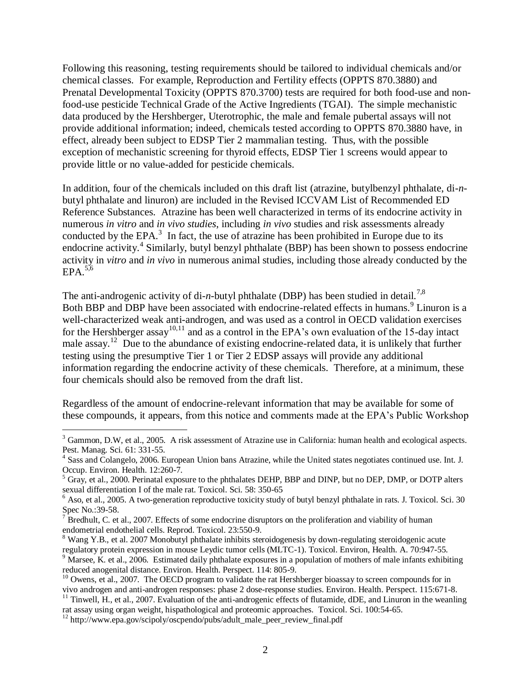Following this reasoning, testing requirements should be tailored to individual chemicals and/or chemical classes. For example, Reproduction and Fertility effects (OPPTS 870.3880) and Prenatal Developmental Toxicity (OPPTS 870.3700) tests are required for both food-use and nonfood-use pesticide Technical Grade of the Active Ingredients (TGAI). The simple mechanistic data produced by the Hershberger, Uterotrophic, the male and female pubertal assays will not provide additional information; indeed, chemicals tested according to OPPTS 870.3880 have, in effect, already been subject to EDSP Tier 2 mammalian testing. Thus, with the possible exception of mechanistic screening for thyroid effects, EDSP Tier 1 screens would appear to provide little or no value-added for pesticide chemicals.

In addition, four of the chemicals included on this draft list (atrazine, butylbenzyl phthalate, di-*n*butyl phthalate and linuron) are included in the Revised ICCVAM List of Recommended ED Reference Substances. Atrazine has been well characterized in terms of its endocrine activity in numerous *in vitro* and *in vivo studies*, including *in vivo* studies and risk assessments already conducted by the EPA. $3$  In fact, the use of atrazine has been prohibited in Europe due to its endocrine activity.<sup>4</sup> Similarly, butyl benzyl phthalate (BBP) has been shown to possess endocrine activity in *vitro* and *in vivo* in numerous animal studies, including those already conducted by the  $EPA.<sup>5,6</sup>$ 

The anti-androgenic activity of di-*n*-butyl phthalate (DBP) has been studied in detail.<sup>7,8</sup> Both BBP and DBP have been associated with endocrine-related effects in humans.<sup>9</sup> Linuron is a well-characterized weak anti-androgen, and was used as a control in OECD validation exercises for the Hershberger assay<sup>10,11</sup> and as a control in the EPA's own evaluation of the 15-day intact male assay.<sup>12</sup> Due to the abundance of existing endocrine-related data, it is unlikely that further testing using the presumptive Tier 1 or Tier 2 EDSP assays will provide any additional information regarding the endocrine activity of these chemicals. Therefore, at a minimum, these four chemicals should also be removed from the draft list.

Regardless of the amount of endocrine-relevant information that may be available for some of these compounds, it appears, from this notice and comments made at the EPA's Public Workshop

 $\overline{a}$ 

<sup>&</sup>lt;sup>3</sup> Gammon, D.W, et al., 2005. A risk assessment of Atrazine use in California: human health and ecological aspects. Pest. Manag. Sci. 61: 331-55.

<sup>&</sup>lt;sup>4</sup> Sass and Colangelo, 2006. European Union bans Atrazine, while the United states negotiates continued use. Int. J. Occup. Environ. Health. 12:260-7.

<sup>&</sup>lt;sup>5</sup> Gray, et al., 2000. Perinatal exposure to the phthalates DEHP, BBP and DINP, but no DEP, DMP, or DOTP alters sexual differentiation I of the male rat. Toxicol. Sci. 58: 350-65

<sup>&</sup>lt;sup>6</sup> Aso, et al., 2005. A two-generation reproductive toxicity study of butyl benzyl phthalate in rats. J. Toxicol. Sci. 30 Spec No.:39-58.

 $7^{7}$  Bredhult, C. et al., 2007. Effects of some endocrine disruptors on the proliferation and viability of human endometrial endothelial cells. Reprod. Toxicol. 23:550-9.

<sup>&</sup>lt;sup>8</sup> Wang Y.B., et al. 2007 Monobutyl phthalate inhibits steroidogenesis by down-regulating steroidogenic acute regulatory protein expression in mouse Leydic tumor cells (MLTC-1). Toxicol. Environ, Health. A. 70:947-55.  $9$  Marsee, K. et al., 2006. Estimated daily phthalate exposures in a population of mothers of male infants exhibiting

reduced anogenital distance. Environ. Health. Perspect. 114: 805-9.

<sup>&</sup>lt;sup>10</sup> Owens, et al., 2007. The OECD program to validate the rat Hershberger bioassay to screen compounds for in vivo androgen and anti-androgen responses: phase 2 dose-response studies. Environ. Health. Perspect. 115:671-8.

<sup>&</sup>lt;sup>11</sup> Tinwell, H., et al., 2007. Evaluation of the anti-androgenic effects of flutamide, dDE, and Linuron in the weanling rat assay using organ weight, hispathological and proteomic approaches. Toxicol. Sci. 100:54-65.

 $12$  http://www.epa.gov/scipoly/oscpendo/pubs/adult\_male\_peer\_review\_final.pdf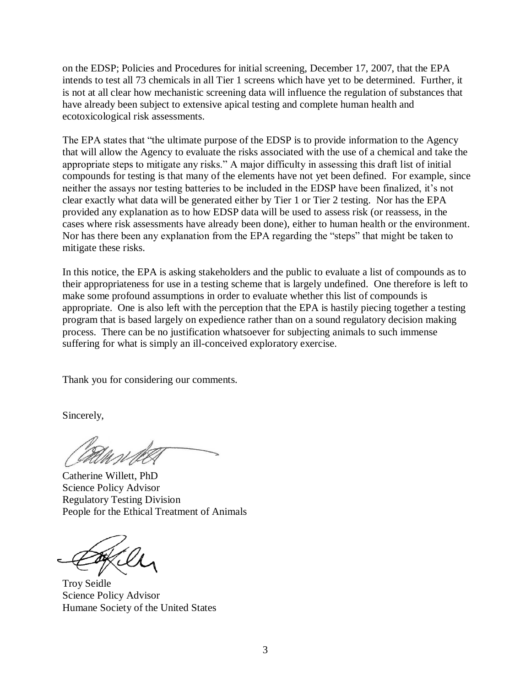on the EDSP; Policies and Procedures for initial screening, December 17, 2007, that the EPA intends to test all 73 chemicals in all Tier 1 screens which have yet to be determined. Further, it is not at all clear how mechanistic screening data will influence the regulation of substances that have already been subject to extensive apical testing and complete human health and ecotoxicological risk assessments.

The EPA states that "the ultimate purpose of the EDSP is to provide information to the Agency that will allow the Agency to evaluate the risks associated with the use of a chemical and take the appropriate steps to mitigate any risks." A major difficulty in assessing this draft list of initial compounds for testing is that many of the elements have not yet been defined. For example, since neither the assays nor testing batteries to be included in the EDSP have been finalized, it's not clear exactly what data will be generated either by Tier 1 or Tier 2 testing. Nor has the EPA provided any explanation as to how EDSP data will be used to assess risk (or reassess, in the cases where risk assessments have already been done), either to human health or the environment. Nor has there been any explanation from the EPA regarding the "steps" that might be taken to mitigate these risks.

In this notice, the EPA is asking stakeholders and the public to evaluate a list of compounds as to their appropriateness for use in a testing scheme that is largely undefined. One therefore is left to make some profound assumptions in order to evaluate whether this list of compounds is appropriate. One is also left with the perception that the EPA is hastily piecing together a testing program that is based largely on expedience rather than on a sound regulatory decision making process. There can be no justification whatsoever for subjecting animals to such immense suffering for what is simply an ill-conceived exploratory exercise.

Thank you for considering our comments.

Sincerely,

Catherine Willett, PhD Science Policy Advisor Regulatory Testing Division People for the Ethical Treatment of Animals

Troy Seidle Science Policy Advisor Humane Society of the United States